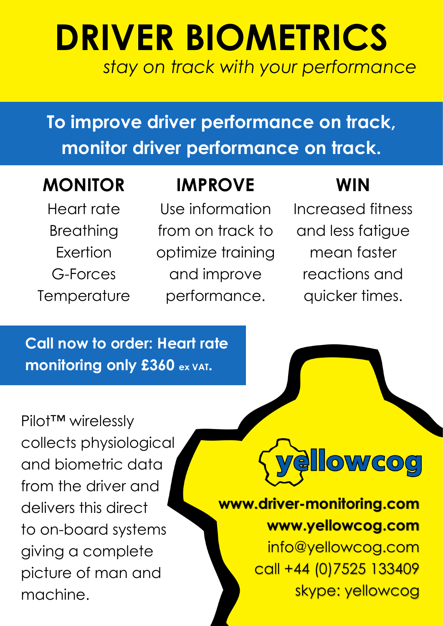# **DRIVER BIOMETRICS** *stay on track with your performance*

**To improve driver performance on track, monitor driver performance on track.**

### **MONITOR**

Heart rate Breathing Exertion G-Forces **Temperature** 

### **IMPROVE**

Use information from on track to optimize training and improve performance.

### **WIN**

Increased fitness and less fatigue mean faster reactions and quicker times.

**Call now to order: Heart rate monitoring only £360 ex VAT.**

Pilot™ wirelessly collects physiological and biometric data from the driver and delivers this direct to on-board systems giving a complete picture of man and machine.



## **www.driver-monitoring.com www.yellowcog.com**

info@yellowcog.com call +44 (0)7525 133409 skype: yellowcog